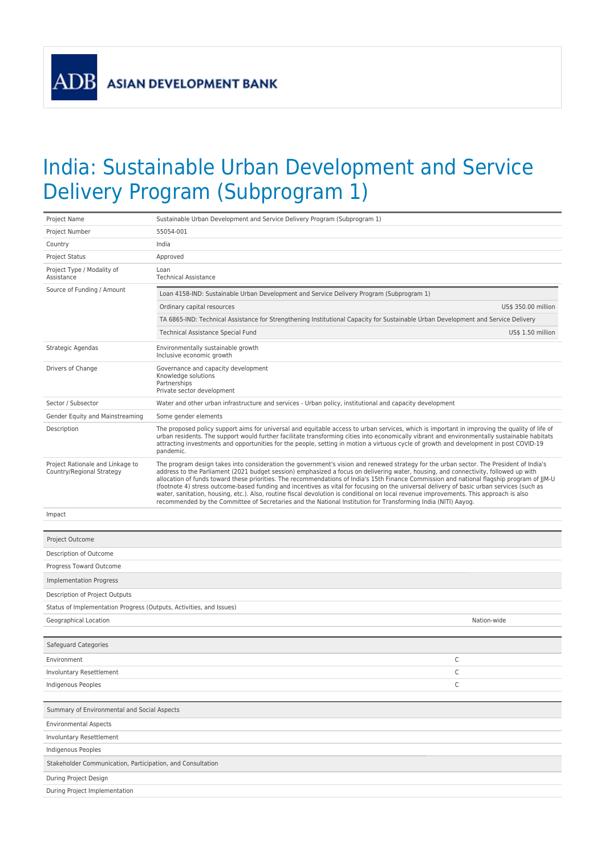ADB

## India: Sustainable Urban Development and Service Delivery Program (Subprogram 1)

| Project Name                                                        | Sustainable Urban Development and Service Delivery Program (Subprogram 1)                                                                                                                                                                                                                                                                                                                                                                                                                                                                                                                                                                                                                                                                                                                                                            |                     |  |  |  |  |
|---------------------------------------------------------------------|--------------------------------------------------------------------------------------------------------------------------------------------------------------------------------------------------------------------------------------------------------------------------------------------------------------------------------------------------------------------------------------------------------------------------------------------------------------------------------------------------------------------------------------------------------------------------------------------------------------------------------------------------------------------------------------------------------------------------------------------------------------------------------------------------------------------------------------|---------------------|--|--|--|--|
| Project Number                                                      | 55054-001                                                                                                                                                                                                                                                                                                                                                                                                                                                                                                                                                                                                                                                                                                                                                                                                                            |                     |  |  |  |  |
| Country                                                             | India                                                                                                                                                                                                                                                                                                                                                                                                                                                                                                                                                                                                                                                                                                                                                                                                                                |                     |  |  |  |  |
| Project Status                                                      | Approved                                                                                                                                                                                                                                                                                                                                                                                                                                                                                                                                                                                                                                                                                                                                                                                                                             |                     |  |  |  |  |
| Project Type / Modality of<br>Assistance                            | Loan<br><b>Technical Assistance</b>                                                                                                                                                                                                                                                                                                                                                                                                                                                                                                                                                                                                                                                                                                                                                                                                  |                     |  |  |  |  |
| Source of Funding / Amount                                          | Loan 4158-IND: Sustainable Urban Development and Service Delivery Program (Subprogram 1)                                                                                                                                                                                                                                                                                                                                                                                                                                                                                                                                                                                                                                                                                                                                             |                     |  |  |  |  |
|                                                                     | Ordinary capital resources                                                                                                                                                                                                                                                                                                                                                                                                                                                                                                                                                                                                                                                                                                                                                                                                           | US\$ 350.00 million |  |  |  |  |
|                                                                     | TA 6865-IND: Technical Assistance for Strengthening Institutional Capacity for Sustainable Urban Development and Service Delivery                                                                                                                                                                                                                                                                                                                                                                                                                                                                                                                                                                                                                                                                                                    |                     |  |  |  |  |
|                                                                     | <b>Technical Assistance Special Fund</b>                                                                                                                                                                                                                                                                                                                                                                                                                                                                                                                                                                                                                                                                                                                                                                                             | US\$ 1.50 million   |  |  |  |  |
| Strategic Agendas                                                   | Environmentally sustainable growth<br>Inclusive economic growth                                                                                                                                                                                                                                                                                                                                                                                                                                                                                                                                                                                                                                                                                                                                                                      |                     |  |  |  |  |
| Drivers of Change                                                   | Governance and capacity development<br>Knowledge solutions<br>Partnerships<br>Private sector development                                                                                                                                                                                                                                                                                                                                                                                                                                                                                                                                                                                                                                                                                                                             |                     |  |  |  |  |
| Sector / Subsector                                                  | Water and other urban infrastructure and services - Urban policy, institutional and capacity development                                                                                                                                                                                                                                                                                                                                                                                                                                                                                                                                                                                                                                                                                                                             |                     |  |  |  |  |
| Gender Equity and Mainstreaming                                     | Some gender elements                                                                                                                                                                                                                                                                                                                                                                                                                                                                                                                                                                                                                                                                                                                                                                                                                 |                     |  |  |  |  |
| Description                                                         | The proposed policy support aims for universal and equitable access to urban services, which is important in improving the quality of life of<br>urban residents. The support would further facilitate transforming cities into economically vibrant and environmentally sustainable habitats<br>attracting investments and opportunities for the people, setting in motion a virtuous cycle of growth and development in post COVID-19<br>pandemic.                                                                                                                                                                                                                                                                                                                                                                                 |                     |  |  |  |  |
| Project Rationale and Linkage to<br>Country/Regional Strategy       | The program design takes into consideration the government's vision and renewed strategy for the urban sector. The President of India's<br>address to the Parliament (2021 budget session) emphasized a focus on delivering water, housing, and connectivity, followed up with<br>allocation of funds toward these priorities. The recommendations of India's 15th Finance Commission and national flagship program of JJM-U<br>(footnote 4) stress outcome-based funding and incentives as vital for focusing on the universal delivery of basic urban services (such as<br>water, sanitation, housing, etc.). Also, routine fiscal devolution is conditional on local revenue improvements. This approach is also<br>recommended by the Committee of Secretaries and the National Institution for Transforming India (NITI) Aayog. |                     |  |  |  |  |
| Impact                                                              |                                                                                                                                                                                                                                                                                                                                                                                                                                                                                                                                                                                                                                                                                                                                                                                                                                      |                     |  |  |  |  |
| Project Outcome                                                     |                                                                                                                                                                                                                                                                                                                                                                                                                                                                                                                                                                                                                                                                                                                                                                                                                                      |                     |  |  |  |  |
| Description of Outcome                                              |                                                                                                                                                                                                                                                                                                                                                                                                                                                                                                                                                                                                                                                                                                                                                                                                                                      |                     |  |  |  |  |
| Progress Toward Outcome                                             |                                                                                                                                                                                                                                                                                                                                                                                                                                                                                                                                                                                                                                                                                                                                                                                                                                      |                     |  |  |  |  |
| <b>Implementation Progress</b>                                      |                                                                                                                                                                                                                                                                                                                                                                                                                                                                                                                                                                                                                                                                                                                                                                                                                                      |                     |  |  |  |  |
| Description of Project Outputs                                      |                                                                                                                                                                                                                                                                                                                                                                                                                                                                                                                                                                                                                                                                                                                                                                                                                                      |                     |  |  |  |  |
| Status of Implementation Progress (Outputs, Activities, and Issues) |                                                                                                                                                                                                                                                                                                                                                                                                                                                                                                                                                                                                                                                                                                                                                                                                                                      |                     |  |  |  |  |
| Geographical Location                                               |                                                                                                                                                                                                                                                                                                                                                                                                                                                                                                                                                                                                                                                                                                                                                                                                                                      | Nation-wide         |  |  |  |  |
|                                                                     |                                                                                                                                                                                                                                                                                                                                                                                                                                                                                                                                                                                                                                                                                                                                                                                                                                      |                     |  |  |  |  |
| Safeguard Categories                                                |                                                                                                                                                                                                                                                                                                                                                                                                                                                                                                                                                                                                                                                                                                                                                                                                                                      |                     |  |  |  |  |
|                                                                     |                                                                                                                                                                                                                                                                                                                                                                                                                                                                                                                                                                                                                                                                                                                                                                                                                                      |                     |  |  |  |  |
| Environment                                                         |                                                                                                                                                                                                                                                                                                                                                                                                                                                                                                                                                                                                                                                                                                                                                                                                                                      | C                   |  |  |  |  |
| Involuntary Resettlement                                            |                                                                                                                                                                                                                                                                                                                                                                                                                                                                                                                                                                                                                                                                                                                                                                                                                                      | $\mathsf C$         |  |  |  |  |
| Indigenous Peoples                                                  |                                                                                                                                                                                                                                                                                                                                                                                                                                                                                                                                                                                                                                                                                                                                                                                                                                      | C                   |  |  |  |  |
| Summary of Environmental and Social Aspects                         |                                                                                                                                                                                                                                                                                                                                                                                                                                                                                                                                                                                                                                                                                                                                                                                                                                      |                     |  |  |  |  |
| <b>Environmental Aspects</b>                                        |                                                                                                                                                                                                                                                                                                                                                                                                                                                                                                                                                                                                                                                                                                                                                                                                                                      |                     |  |  |  |  |
| Involuntary Resettlement                                            |                                                                                                                                                                                                                                                                                                                                                                                                                                                                                                                                                                                                                                                                                                                                                                                                                                      |                     |  |  |  |  |
| Indigenous Peoples                                                  |                                                                                                                                                                                                                                                                                                                                                                                                                                                                                                                                                                                                                                                                                                                                                                                                                                      |                     |  |  |  |  |
| Stakeholder Communication, Participation, and Consultation          |                                                                                                                                                                                                                                                                                                                                                                                                                                                                                                                                                                                                                                                                                                                                                                                                                                      |                     |  |  |  |  |
| During Project Design                                               |                                                                                                                                                                                                                                                                                                                                                                                                                                                                                                                                                                                                                                                                                                                                                                                                                                      |                     |  |  |  |  |
| During Project Implementation                                       |                                                                                                                                                                                                                                                                                                                                                                                                                                                                                                                                                                                                                                                                                                                                                                                                                                      |                     |  |  |  |  |